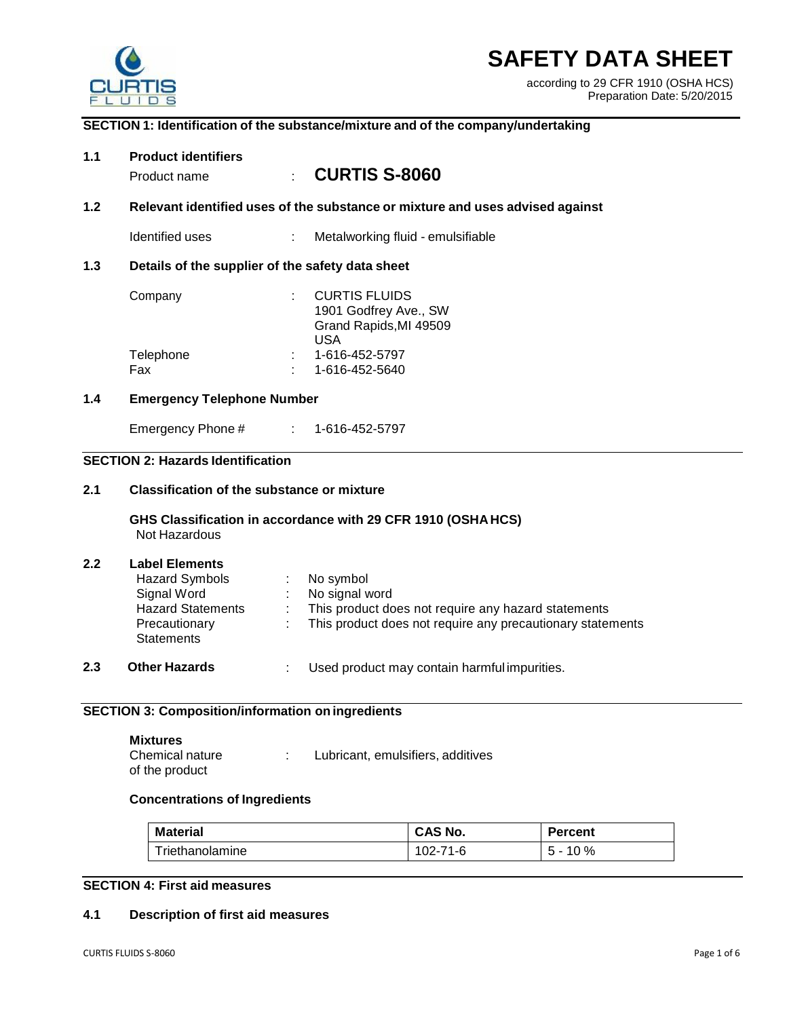

# **SAFETY DATA SHEET**

according to 29 CFR 1910 (OSHA HCS) Preparation Date: 5/20/2015

#### **SECTION 1: Identification of the substance/mixture and of the company/undertaking**

## **1.1 Product identifiers** Product name : **CURTIS S-8060 1.2 Relevant identified uses of the substance or mixture and uses advised against** Identified uses : Metalworking fluid - emulsifiable **1.3 Details of the supplier of the safety data sheet** Company : CURTIS FLUIDS 1901 Godfrey Ave., SW Grand Rapids,MI 49509 USA Telephone : 1-616-452-5797 Fax : 1-616-452-5640 **1.4 Emergency Telephone Number** Emergency Phone # : 1-616-452-5797 **SECTION 2: Hazards Identification 2.1 Classification of the substance or mixture GHS Classification in accordance with 29 CFR 1910 (OSHAHCS)** Not Hazardous **2.2 Label Elements 2.3 Other Hazards** : Used product may contain harmful impurities. **SECTION 3: Composition/information on ingredients Mixtures** Hazard Symbols : No symbol Signal Word : No signal word<br>
Hazard Statements : This product do : This product does not require any hazard statements **Precautionary Statements** : This product does not require any precautionary statements

| Chemical nature | Lubricant, emulsifiers, additives |
|-----------------|-----------------------------------|
| of the product  |                                   |

## **Concentrations of Ingredients**

| Material        | CAS No.  | <b>Percent</b> |
|-----------------|----------|----------------|
| Triethanolamine | 102-71-6 | $5 - 10 \%$    |

## **SECTION 4: First aid measures**

## **4.1 Description of first aid measures**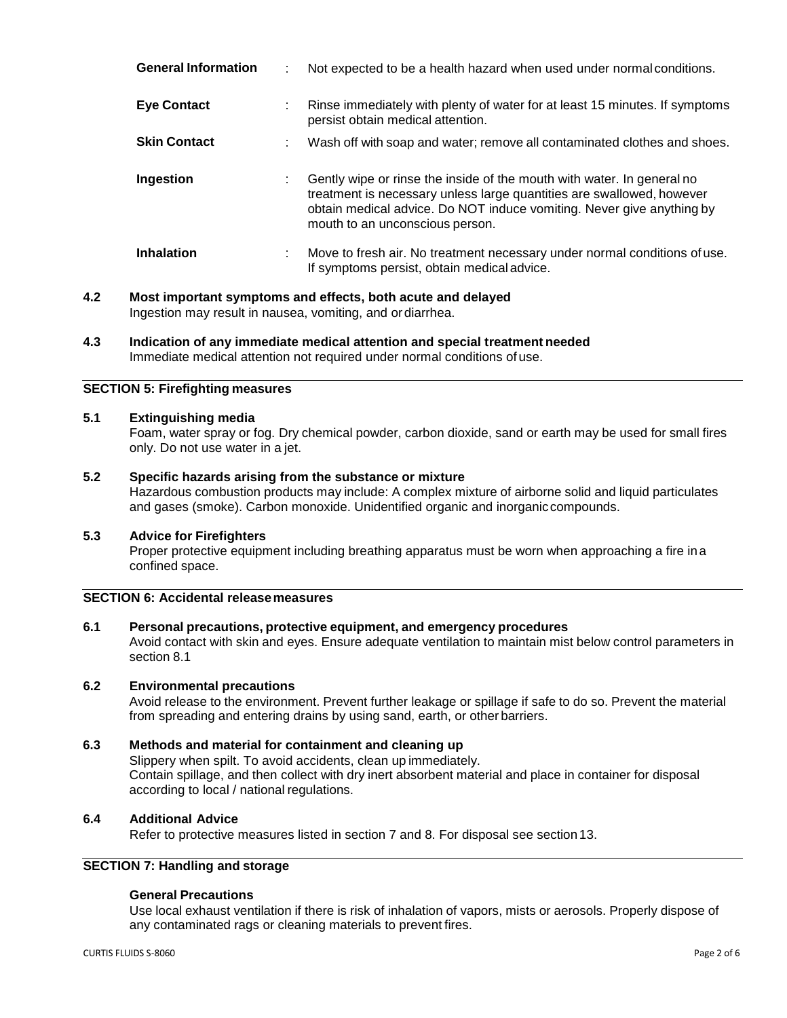| <b>General Information</b> |    | Not expected to be a health hazard when used under normal conditions.                                                                                                                                                                                       |
|----------------------------|----|-------------------------------------------------------------------------------------------------------------------------------------------------------------------------------------------------------------------------------------------------------------|
| <b>Eye Contact</b>         | ÷. | Rinse immediately with plenty of water for at least 15 minutes. If symptoms<br>persist obtain medical attention.                                                                                                                                            |
| <b>Skin Contact</b>        |    | Wash off with soap and water; remove all contaminated clothes and shoes.                                                                                                                                                                                    |
| Ingestion                  |    | Gently wipe or rinse the inside of the mouth with water. In general no<br>treatment is necessary unless large quantities are swallowed, however<br>obtain medical advice. Do NOT induce vomiting. Never give anything by<br>mouth to an unconscious person. |
| <b>Inhalation</b>          | ÷. | Move to fresh air. No treatment necessary under normal conditions of use.<br>If symptoms persist, obtain medical advice.                                                                                                                                    |

- **4.2 Most important symptoms and effects, both acute and delayed** Ingestion may result in nausea, vomiting, and ordiarrhea.
- **4.3 Indication of any immediate medical attention and special treatment needed** Immediate medical attention not required under normal conditions of use.

## **SECTION 5: Firefighting measures**

## **5.1 Extinguishing media**

Foam, water spray or fog. Dry chemical powder, carbon dioxide, sand or earth may be used for small fires only. Do not use water in a jet.

## **5.2 Specific hazards arising from the substance or mixture**

Hazardous combustion products may include: A complex mixture of airborne solid and liquid particulates and gases (smoke). Carbon monoxide. Unidentified organic and inorganiccompounds.

#### **5.3 Advice for Firefighters**

Proper protective equipment including breathing apparatus must be worn when approaching a fire ina confined space.

## **SECTION 6: Accidental releasemeasures**

## **6.1 Personal precautions, protective equipment, and emergency procedures**

Avoid contact with skin and eyes. Ensure adequate ventilation to maintain mist below control parameters in section 8.1

#### **6.2 Environmental precautions**

Avoid release to the environment. Prevent further leakage or spillage if safe to do so. Prevent the material from spreading and entering drains by using sand, earth, or other barriers.

#### **6.3 Methods and material for containment and cleaning up**

Slippery when spilt. To avoid accidents, clean up immediately. Contain spillage, and then collect with dry inert absorbent material and place in container for disposal according to local / national regulations.

## **6.4 Additional Advice**

Refer to protective measures listed in section 7 and 8. For disposal see section 13.

## **SECTION 7: Handling and storage**

## **General Precautions**

Use local exhaust ventilation if there is risk of inhalation of vapors, mists or aerosols. Properly dispose of any contaminated rags or cleaning materials to prevent fires.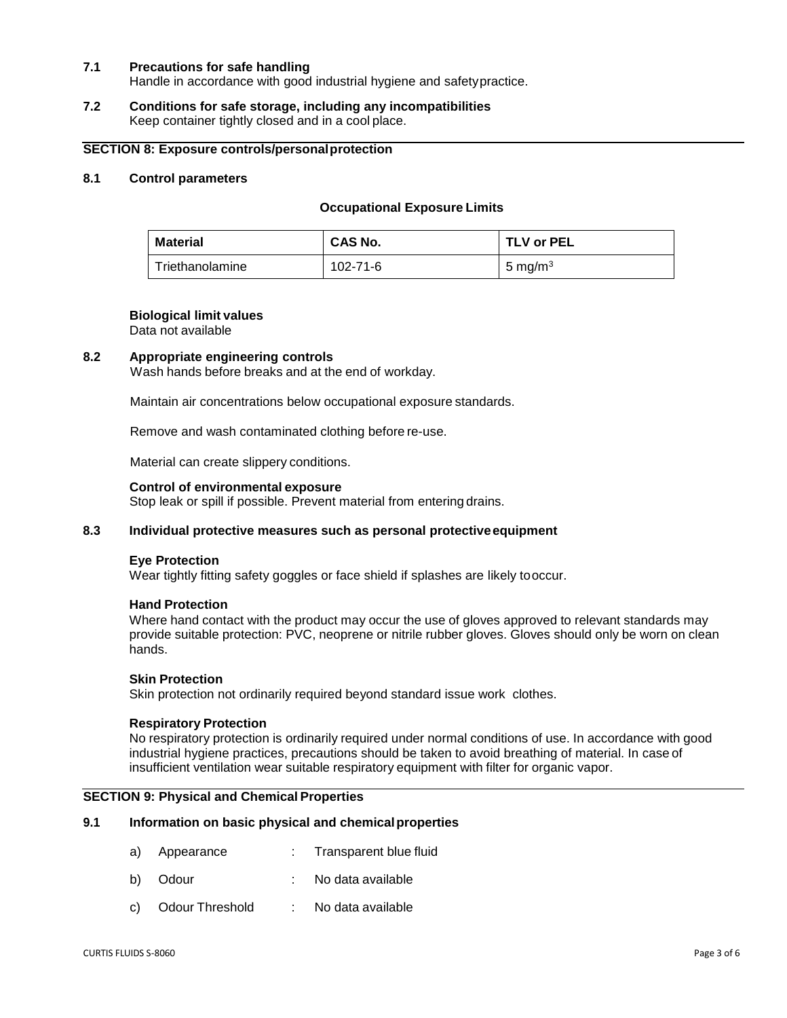## **7.1 Precautions for safe handling**

Handle in accordance with good industrial hygiene and safetypractice.

#### **7.2 Conditions for safe storage, including any incompatibilities** Keep container tightly closed and in a cool place.

## **SECTION 8: Exposure controls/personalprotection**

## **8.1 Control parameters**

#### **Occupational Exposure Limits**

| <b>Material</b> | <b>CAS No.</b> | TLV or PEL |
|-----------------|----------------|------------|
| Triethanolamine | 102-71-6       | 5 mg/m $3$ |

#### **Biological limit values**

Data not available

#### **8.2 Appropriate engineering controls**

Wash hands before breaks and at the end of workday.

Maintain air concentrations below occupational exposure standards.

Remove and wash contaminated clothing before re-use.

Material can create slippery conditions.

## **Control of environmental exposure**

Stop leak or spill if possible. Prevent material from entering drains.

## **8.3 Individual protective measures such as personal protectiveequipment**

#### **Eye Protection**

Wear tightly fitting safety goggles or face shield if splashes are likely tooccur.

#### **Hand Protection**

Where hand contact with the product may occur the use of gloves approved to relevant standards may provide suitable protection: PVC, neoprene or nitrile rubber gloves. Gloves should only be worn on clean hands.

## **Skin Protection**

Skin protection not ordinarily required beyond standard issue work clothes.

## **Respiratory Protection**

No respiratory protection is ordinarily required under normal conditions of use. In accordance with good industrial hygiene practices, precautions should be taken to avoid breathing of material. In case of insufficient ventilation wear suitable respiratory equipment with filter for organic vapor.

#### **SECTION 9: Physical and Chemical Properties**

#### **9.1 Information on basic physical and chemicalproperties**

- a) Appearance : Transparent blue fluid
- b) Odour : No data available
- c) Odour Threshold : No data available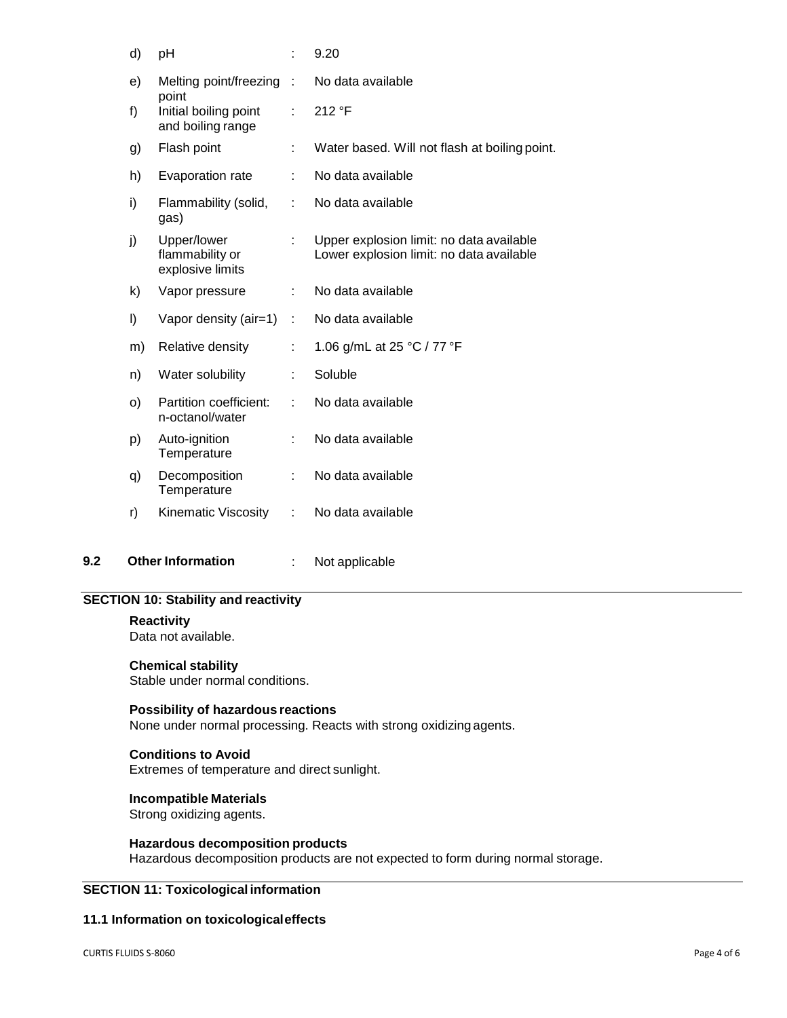| d) | pH                                                  | ÷  | 9.20                                                                                 |
|----|-----------------------------------------------------|----|--------------------------------------------------------------------------------------|
| e) | Melting point/freezing :                            |    | No data available                                                                    |
| f) | point<br>Initial boiling point<br>and boiling range | ÷  | 212 °F                                                                               |
| g) | Flash point                                         | t. | Water based. Will not flash at boiling point.                                        |
| h) | Evaporation rate                                    | ÷  | No data available                                                                    |
| i) | Flammability (solid,<br>gas)                        | t  | No data available                                                                    |
| j) | Upper/lower<br>flammability or<br>explosive limits  | ÷  | Upper explosion limit: no data available<br>Lower explosion limit: no data available |
| k) | Vapor pressure                                      | ÷  | No data available                                                                    |
| I) | Vapor density (air=1)                               | ÷  | No data available                                                                    |
| m) | Relative density                                    | ÷  | 1.06 g/mL at 25 °C / 77 °F                                                           |
| n) | Water solubility                                    | t  | Soluble                                                                              |
| O) | Partition coefficient:<br>n-octanol/water           | ÷. | No data available                                                                    |
| p) | Auto-ignition<br>Temperature                        | ÷  | No data available                                                                    |
| q) | Decomposition<br>Temperature                        | ÷  | No data available                                                                    |
| r) | Kinematic Viscosity                                 | ÷  | No data available                                                                    |

**9.2 Other Information** : Not applicable

## **SECTION 10: Stability and reactivity**

#### **Reactivity**

Data not available.

## **Chemical stability**

Stable under normal conditions.

## **Possibility of hazardous reactions**

None under normal processing. Reacts with strong oxidizing agents.

## **Conditions to Avoid**

Extremes of temperature and direct sunlight.

## **Incompatible Materials**

Strong oxidizing agents.

## **Hazardous decomposition products**

Hazardous decomposition products are not expected to form during normal storage.

## **SECTION 11: Toxicological information**

## **11.1 Information on toxicologicaleffects**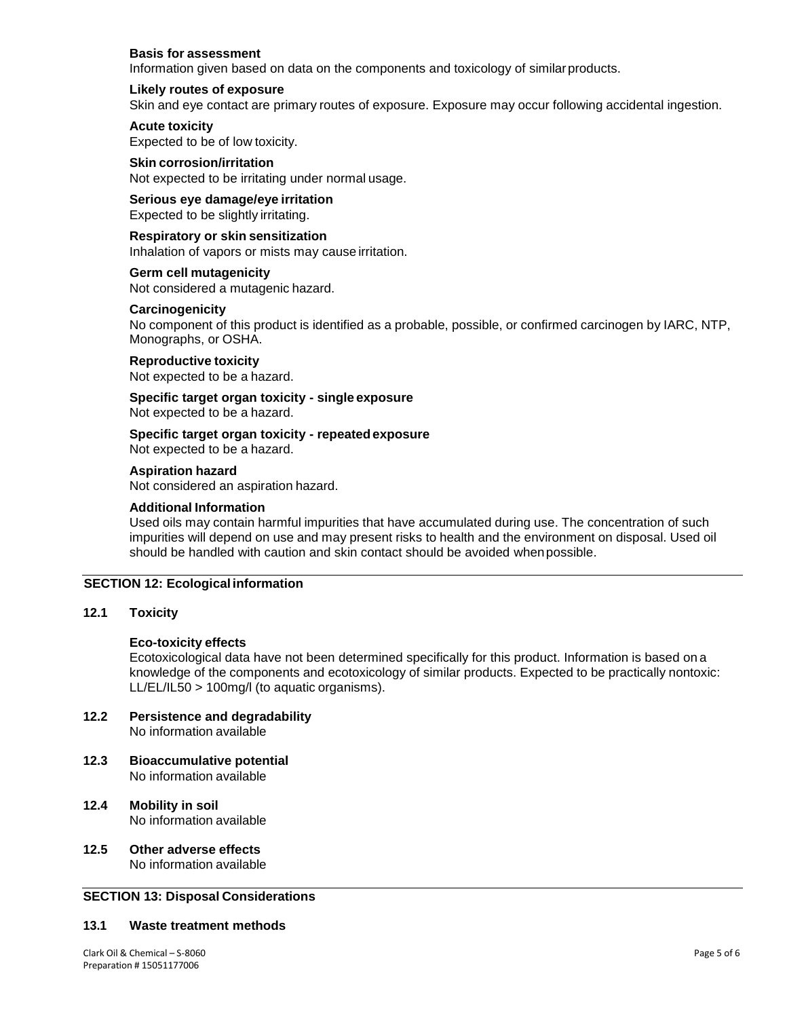## **Basis for assessment**

Information given based on data on the components and toxicology of similarproducts.

#### **Likely routes of exposure**

Skin and eye contact are primary routes of exposure. Exposure may occur following accidental ingestion.

## **Acute toxicity**

Expected to be of low toxicity.

**Skin corrosion/irritation** Not expected to be irritating under normal usage.

## **Serious eye damage/eye irritation**

Expected to be slightly irritating.

**Respiratory or skin sensitization** Inhalation of vapors or mists may cause irritation.

**Germ cell mutagenicity** Not considered a mutagenic hazard.

## **Carcinogenicity**

No component of this product is identified as a probable, possible, or confirmed carcinogen by IARC, NTP, Monographs, or OSHA.

## **Reproductive toxicity**

Not expected to be a hazard.

**Specific target organ toxicity - single exposure** Not expected to be a hazard.

**Specific target organ toxicity - repeatedexposure** Not expected to be a hazard.

## **Aspiration hazard**

Not considered an aspiration hazard.

#### **Additional Information**

Used oils may contain harmful impurities that have accumulated during use. The concentration of such impurities will depend on use and may present risks to health and the environment on disposal. Used oil should be handled with caution and skin contact should be avoided whenpossible.

## **SECTION 12: Ecological information**

## **12.1 Toxicity**

#### **Eco-toxicity effects**

Ecotoxicological data have not been determined specifically for this product. Information is based on a knowledge of the components and ecotoxicology of similar products. Expected to be practically nontoxic: LL/EL/IL50 > 100mg/l (to aquatic organisms).

## **12.2 Persistence and degradability** No information available

- **12.3 Bioaccumulative potential** No information available
- **12.4 Mobility in soil** No information available
- **12.5 Other adverse effects** No information available

## **SECTION 13: Disposal Considerations**

#### **13.1 Waste treatment methods**